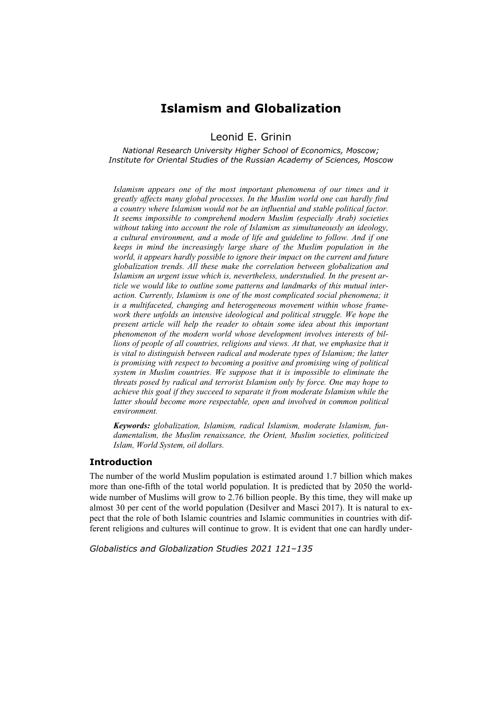# **Islamism and Globalization**

Leonid E. Grinin

*National Research University Higher School of Economics, Moscow; Institute for Oriental Studies of the Russian Academy of Sciences, Moscow* 

*Islamism appears one of the most important phenomena of our times and it greatly affects many global processes. In the Muslim world one can hardly find a country where Islamism would not be an influential and stable political factor. It seems impossible to comprehend modern Muslim (especially Arab) societies without taking into account the role of Islamism as simultaneously an ideology, a cultural environment, and a mode of life and guideline to follow. And if one keeps in mind the increasingly large share of the Muslim population in the world, it appears hardly possible to ignore their impact on the current and future globalization trends. All these make the correlation between globalization and Islamism an urgent issue which is, nevertheless, understudied. In the present article we would like to outline some patterns and landmarks of this mutual interaction. Currently, Islamism is one of the most complicated social phenomena; it is a multifaceted, changing and heterogeneous movement within whose framework there unfolds an intensive ideological and political struggle. We hope the present article will help the reader to obtain some idea about this important phenomenon of the modern world whose development involves interests of billions of people of all countries, religions and views. At that, we emphasize that it is vital to distinguish between radical and moderate types of Islamism; the latter is promising with respect to becoming a positive and promising wing of political system in Muslim countries. We suppose that it is impossible to eliminate the threats posed by radical and terrorist Islamism only by force. One may hope to achieve this goal if they succeed to separate it from moderate Islamism while the latter should become more respectable, open and involved in common political environment.* 

*Keywords: globalization, Islamism, radical Islamism, moderate Islamism, fundamentalism, the Muslim renaissance, the Orient, Muslim societies, politicized Islam, World System, oil dollars.* 

## **Introduction**

The number of the world Muslim population is estimated around 1.7 billion which makes more than one-fifth of the total world population. It is predicted that by 2050 the worldwide number of Muslims will grow to 2.76 billion people. By this time, they will make up almost 30 per cent of the world population (Desilver and Masci 2017). It is natural to expect that the role of both Islamic countries and Islamic communities in countries with different religions and cultures will continue to grow. It is evident that one can hardly under-

*Globalistics and Globalization Studies 2021 121–135*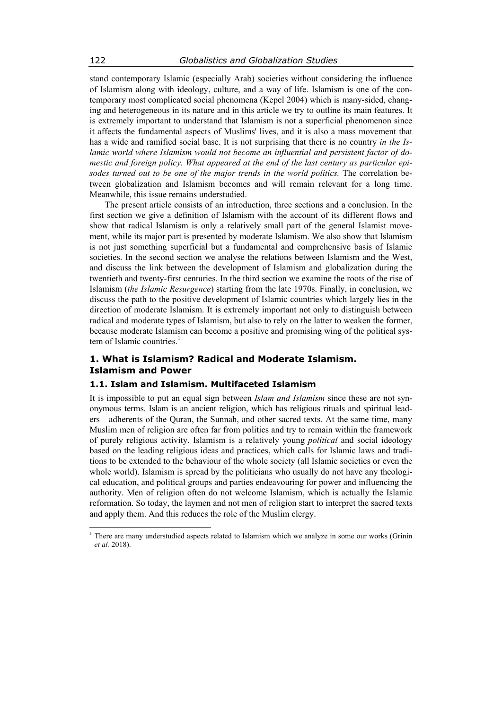stand contemporary Islamic (especially Arab) societies without considering the influence of Islamism along with ideology, culture, and a way of life. Islamism is one of the contemporary most complicated social phenomena (Kepel 2004) which is many-sided, changing and heterogeneous in its nature and in this article we try to outline its main features. It is extremely important to understand that Islamism is not a superficial phenomenon since it affects the fundamental aspects of Muslims' lives, and it is also a mass movement that has a wide and ramified social base. It is not surprising that there is no country *in the Islamic world where Islamism would not become an influential and persistent factor of domestic and foreign policy. What appeared at the end of the last century as particular episodes turned out to be one of the major trends in the world politics.* The correlation between globalization and Islamism becomes and will remain relevant for a long time. Meanwhile, this issue remains understudied.

The present article consists of an introduction, three sections and a conclusion. In the first section we give a definition of Islamism with the account of its different flows and show that radical Islamism is only a relatively small part of the general Islamist movement, while its major part is presented by moderate Islamism. We also show that Islamism is not just something superficial but a fundamental and comprehensive basis of Islamic societies. In the second section we analyse the relations between Islamism and the West, and discuss the link between the development of Islamism and globalization during the twentieth and twenty-first centuries. In the third section we examine the roots of the rise of Islamism (*the Islamic Resurgence*) starting from the late 1970s. Finally, in conclusion, we discuss the path to the positive development of Islamic countries which largely lies in the direction of moderate Islamism. It is extremely important not only to distinguish between radical and moderate types of Islamism, but also to rely on the latter to weaken the former, because moderate Islamism can become a positive and promising wing of the political system of Islamic countries. $<sup>1</sup>$ </sup>

## **1. What is Islamism? Radical and Moderate Islamism. Islamism and Power**

## **1.1. Islam and Islamism. Multifaceted Islamism**

It is impossible to put an equal sign between *Islam and Islamism* since these are not synonymous terms. Islam is an ancient religion, which has religious rituals and spiritual leaders – adherents of the Quran, the Sunnah, and other sacred texts. At the same time, many Muslim men of religion are often far from politics and try to remain within the framework of purely religious activity. Islamism is a relatively young *political* and social ideology based on the leading religious ideas and practices, which calls for Islamic laws and traditions to be extended to the behaviour of the whole society (all Islamic societies or even the whole world). Islamism is spread by the politicians who usually do not have any theological education, and political groups and parties endeavouring for power and influencing the authority. Men of religion often do not welcome Islamism, which is actually the Islamic reformation. So today, the laymen and not men of religion start to interpret the sacred texts and apply them. And this reduces the role of the Muslim clergy.

 $\overline{\phantom{a}}$ 

<sup>&</sup>lt;sup>1</sup> There are many understudied aspects related to Islamism which we analyze in some our works (Grinin *et al.* 2018).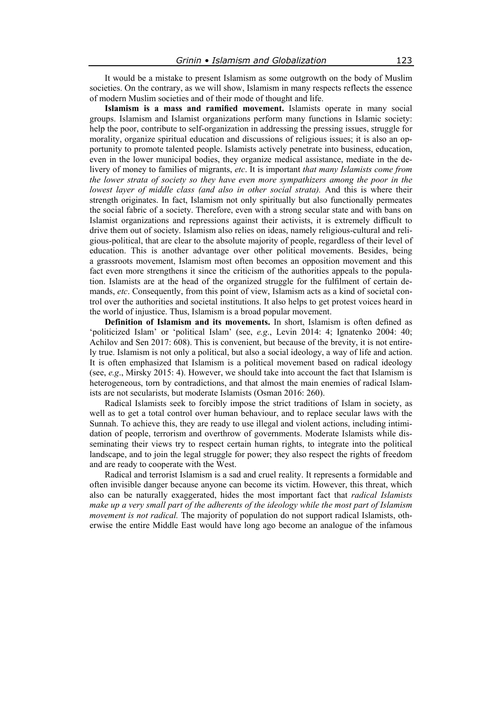It would be a mistake to present Islamism as some outgrowth on the body of Muslim societies. On the contrary, as we will show, Islamism in many respects reflects the essence of modern Muslim societies and of their mode of thought and life.

**Islamism is a mass and ramified movement.** Islamists operate in many social groups. Islamism and Islamist organizations perform many functions in Islamic society: help the poor, contribute to self-organization in addressing the pressing issues, struggle for morality, organize spiritual education and discussions of religious issues; it is also an opportunity to promote talented people. Islamists actively penetrate into business, education, even in the lower municipal bodies, they organize medical assistance, mediate in the delivery of money to families of migrants, *etc*. It is important *that many Islamists come from the lower strata of society so they have even more sympathizers among the poor in the lowest layer of middle class (and also in other social strata).* And this is where their strength originates. In fact, Islamism not only spiritually but also functionally permeates the social fabric of a society. Therefore, even with a strong secular state and with bans on Islamist organizations and repressions against their activists, it is extremely difficult to drive them out of society. Islamism also relies on ideas, namely religious-cultural and religious-political, that are clear to the absolute majority of people, regardless of their level of education. This is another advantage over other political movements. Besides, being a grassroots movement, Islamism most often becomes an opposition movement and this fact even more strengthens it since the criticism of the authorities appeals to the population. Islamists are at the head of the organized struggle for the fulfilment of certain demands, *etc*. Consequently, from this point of view, Islamism acts as a kind of societal control over the authorities and societal institutions. It also helps to get protest voices heard in the world of injustice. Thus, Islamism is a broad popular movement.

**Definition of Islamism and its movements.** In short, Islamism is often defined as 'politicized Islam' or 'political Islam' (see, *e.g*., Levin 2014: 4; Ignatenko 2004: 40; Achilov and Sen 2017: 608). This is convenient, but because of the brevity, it is not entirely true. Islamism is not only a political, but also a social ideology, a way of life and action. It is often emphasized that Islamism is a political movement based on radical ideology (see, *e.g*., Mirsky 2015: 4). However, we should take into account the fact that Islamism is heterogeneous, torn by contradictions, and that almost the main enemies of radical Islamists are not secularists, but moderate Islamists (Osman 2016: 260).

Radical Islamists seek to forcibly impose the strict traditions of Islam in society, as well as to get a total control over human behaviour, and to replace secular laws with the Sunnah. To achieve this, they are ready to use illegal and violent actions, including intimidation of people, terrorism and overthrow of governments. Moderate Islamists while disseminating their views try to respect certain human rights, to integrate into the political landscape, and to join the legal struggle for power; they also respect the rights of freedom and are ready to cooperate with the West.

Radical and terrorist Islamism is a sad and cruel reality. It represents a formidable and often invisible danger because anyone can become its victim. However, this threat, which also can be naturally exaggerated, hides the most important fact that *radical Islamists make up a very small part of the adherents of the ideology while the most part of Islamism movement is not radical.* The majority of population do not support radical Islamists, otherwise the entire Middle East would have long ago become an analogue of the infamous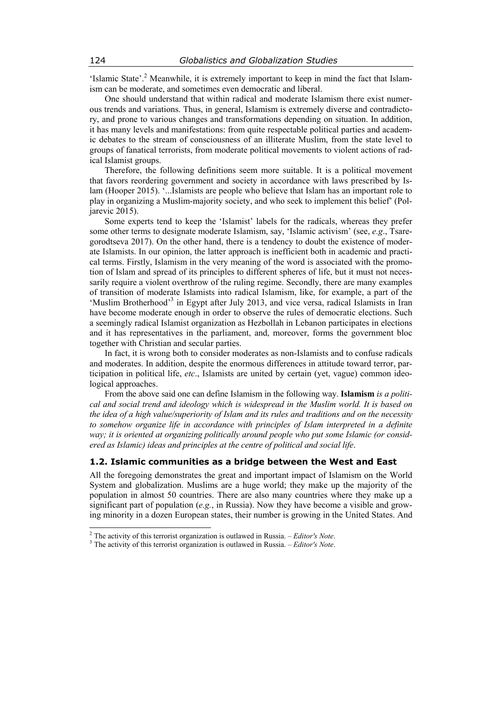'Islamic State'.<sup>2</sup> Meanwhile, it is extremely important to keep in mind the fact that Islamism can be moderate, and sometimes even democratic and liberal.

One should understand that within radical and moderate Islamism there exist numerous trends and variations. Thus, in general, Islamism is extremely diverse and contradictory, and prone to various changes and transformations depending on situation. In addition, it has many levels and manifestations: from quite respectable political parties and academic debates to the stream of consciousness of an illiterate Muslim, from the state level to groups of fanatical terrorists, from moderate political movements to violent actions of radical Islamist groups.

Therefore, the following definitions seem more suitable. It is a political movement that favors reordering government and society in accordance with laws prescribed by Islam (Hooper 2015). '...Islamists are people who believe that Islam has an important role to play in organizing a Muslim-majority society, and who seek to implement this belief' (Poljarevic 2015).

Some experts tend to keep the 'Islamist' labels for the radicals, whereas they prefer some other terms to designate moderate Islamism, say, 'Islamic activism' (see, *e.g*., Tsaregorodtseva 2017). On the other hand, there is a tendency to doubt the existence of moderate Islamists. In our opinion, the latter approach is inefficient both in academic and practical terms. Firstly, Islamism in the very meaning of the word is associated with the promotion of Islam and spread of its principles to different spheres of life, but it must not necessarily require a violent overthrow of the ruling regime. Secondly, there are many examples of transition of moderate Islamists into radical Islamism, like, for example, a part of the 'Muslim Brotherhood'<sup>3</sup> in Egypt after July 2013, and vice versa, radical Islamists in Iran have become moderate enough in order to observe the rules of democratic elections. Such a seemingly radical Islamist organization as Hezbollah in Lebanon participates in elections and it has representatives in the parliament, and, moreover, forms the government bloc together with Christian and secular parties.

In fact, it is wrong both to consider moderates as non-Islamists and to confuse radicals and moderates. In addition, despite the enormous differences in attitude toward terror, participation in political life, *etc*., Islamists are united by certain (yet, vague) common ideological approaches.

From the above said one can define Islamism in the following way. **Islamism** *is a political and social trend and ideology which is widespread in the Muslim world. It is based on the idea of a high value/superiority of Islam and its rules and traditions and on the necessity*  to somehow organize life in accordance with principles of Islam interpreted in a definite *way; it is oriented at organizing politically around people who put some Islamic (or considered as Islamic) ideas and principles at the centre of political and social life*.

#### **1.2. Islamic communities as a bridge between the West and East**

All the foregoing demonstrates the great and important impact of Islamism on the World System and globalization. Muslims are a huge world; they make up the majority of the population in almost 50 countries. There are also many countries where they make up a significant part of population (*e.g.*, in Russia). Now they have become a visible and growing minority in a dozen European states, their number is growing in the United States. And

<sup>&</sup>lt;sup>2</sup> The activity of this terrorist organization is outlawed in Russia. – *Editor's Note*. <sup>3</sup> The estimity of this terrorist organization is outlawed in Pussia. – *Editor's Note*.

<sup>&</sup>lt;sup>3</sup> The activity of this terrorist organization is outlawed in Russia. – *Editor's Note*.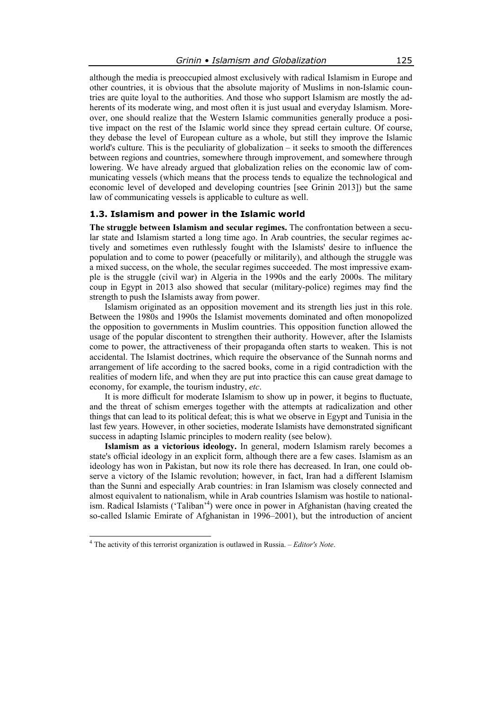although the media is preoccupied almost exclusively with radical Islamism in Europe and other countries, it is obvious that the absolute majority of Muslims in non-Islamic countries are quite loyal to the authorities. And those who support Islamism are mostly the adherents of its moderate wing, and most often it is just usual and everyday Islamism. Moreover, one should realize that the Western Islamic communities generally produce a positive impact on the rest of the Islamic world since they spread certain culture. Of course, they debase the level of European culture as a whole, but still they improve the Islamic world's culture. This is the peculiarity of globalization – it seeks to smooth the differences between regions and countries, somewhere through improvement, and somewhere through lowering. We have already argued that globalization relies on the economic law of communicating vessels (which means that the process tends to equalize the technological and economic level of developed and developing countries [see Grinin 2013]) but the same law of communicating vessels is applicable to culture as well.

#### **1.3. Islamism and power in the Islamic world**

**The struggle between Islamism and secular regimes.** The confrontation between a secular state and Islamism started a long time ago. In Arab countries, the secular regimes actively and sometimes even ruthlessly fought with the Islamists' desire to influence the population and to come to power (peacefully or militarily), and although the struggle was a mixed success, on the whole, the secular regimes succeeded. The most impressive example is the struggle (civil war) in Algeria in the 1990s and the early 2000s. The military coup in Egypt in 2013 also showed that secular (military-police) regimes may find the strength to push the Islamists away from power.

Islamism originated as an opposition movement and its strength lies just in this role. Between the 1980s and 1990s the Islamist movements dominated and often monopolized the opposition to governments in Muslim countries. This opposition function allowed the usage of the popular discontent to strengthen their authority. However, after the Islamists come to power, the attractiveness of their propaganda often starts to weaken. This is not accidental. The Islamist doctrines, which require the observance of the Sunnah norms and arrangement of life according to the sacred books, come in a rigid contradiction with the realities of modern life, and when they are put into practice this can cause great damage to economy, for example, the tourism industry, *etc*.

It is more difficult for moderate Islamism to show up in power, it begins to fluctuate, and the threat of schism emerges together with the attempts at radicalization and other things that can lead to its political defeat; this is what we observe in Egypt and Tunisia in the last few years. However, in other societies, moderate Islamists have demonstrated significant success in adapting Islamic principles to modern reality (see below).

**Islamism as a victorious ideology.** In general, modern Islamism rarely becomes a state's official ideology in an explicit form, although there are a few cases. Islamism as an ideology has won in Pakistan, but now its role there has decreased. In Iran, one could observe a victory of the Islamic revolution; however, in fact, Iran had a different Islamism than the Sunni and especially Arab countries: in Iran Islamism was closely connected and almost equivalent to nationalism, while in Arab countries Islamism was hostile to nationalism. Radical Islamists ('Taliban<sup>'4</sup>) were once in power in Afghanistan (having created the so-called Islamic Emirate of Afghanistan in 1996–2001), but the introduction of ancient

 4 The activity of this terrorist organization is outlawed in Russia. – *Editor's Note*.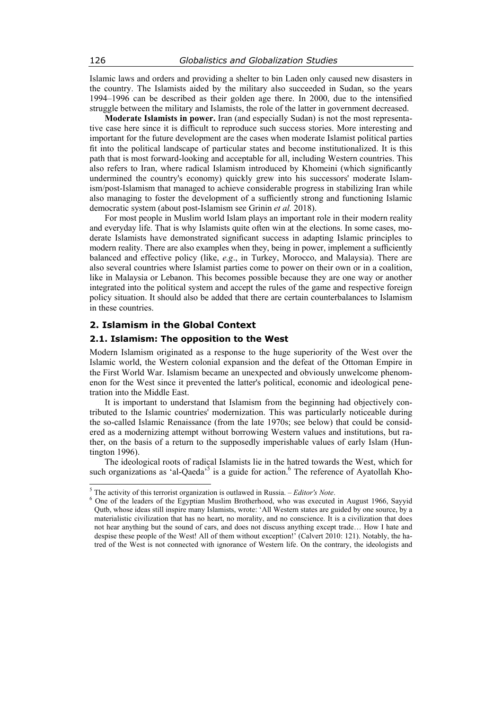Islamic laws and orders and providing a shelter to bin Laden only caused new disasters in the country. The Islamists aided by the military also succeeded in Sudan, so the years 1994–1996 can be described as their golden age there. In 2000, due to the intensified struggle between the military and Islamists, the role of the latter in government decreased.

**Moderate Islamists in power.** Iran (and especially Sudan) is not the most representative case here since it is difficult to reproduce such success stories. More interesting and important for the future development are the cases when moderate Islamist political parties fit into the political landscape of particular states and become institutionalized. It is this path that is most forward-looking and acceptable for all, including Western countries. This also refers to Iran, where radical Islamism introduced by Khomeini (which significantly undermined the country's economy) quickly grew into his successors' moderate Islamism/post-Islamism that managed to achieve considerable progress in stabilizing Iran while also managing to foster the development of a sufficiently strong and functioning Islamic democratic system (about post-Islamism see Grinin *et al.* 2018).

For most people in Muslim world Islam plays an important role in their modern reality and everyday life. That is why Islamists quite often win at the elections. In some cases, moderate Islamists have demonstrated significant success in adapting Islamic principles to modern reality. There are also examples when they, being in power, implement a sufficiently balanced and effective policy (like, *e.g*., in Turkey, Morocco, and Malaysia). There are also several countries where Islamist parties come to power on their own or in a coalition, like in Malaysia or Lebanon. This becomes possible because they are one way or another integrated into the political system and accept the rules of the game and respective foreign policy situation. It should also be added that there are certain counterbalances to Islamism in these countries.

## **2. Islamism in the Global Context**

## **2.1. Islamism: The opposition to the West**

Modern Islamism originated as a response to the huge superiority of the West over the Islamic world, the Western colonial expansion and the defeat of the Ottoman Empire in the First World War. Islamism became an unexpected and obviously unwelcome phenomenon for the West since it prevented the latter's political, economic and ideological penetration into the Middle East.

It is important to understand that Islamism from the beginning had objectively contributed to the Islamic countries' modernization. This was particularly noticeable during the so-called Islamic Renaissance (from the late 1970s; see below) that could be considered as a modernizing attempt without borrowing Western values and institutions, but rather, on the basis of a return to the supposedly imperishable values of early Islam (Huntington 1996).

The ideological roots of radical Islamists lie in the hatred towards the West, which for such organizations as 'al-Qaeda'<sup>5</sup> is a guide for action.<sup>6</sup> The reference of Ayatollah Kho-

<sup>&</sup>lt;sup>5</sup> The activity of this terrorist organization is outlawed in Russia. – *Editor's Note*. <sup>6</sup> One of the leaders of the Equation Muslim Protectional who was avoided

<sup>&</sup>lt;sup>6</sup> One of the leaders of the Egyptian Muslim Brotherhood, who was executed in August 1966, Sayyid Qutb, whose ideas still inspire many Islamists, wrote: 'All Western states are guided by one source, by a materialistic civilization that has no heart, no morality, and no conscience. It is a civilization that does not hear anything but the sound of cars, and does not discuss anything except trade… How I hate and despise these people of the West! All of them without exception!' (Calvert 2010: 121). Notably, the hatred of the West is not connected with ignorance of Western life. On the contrary, the ideologists and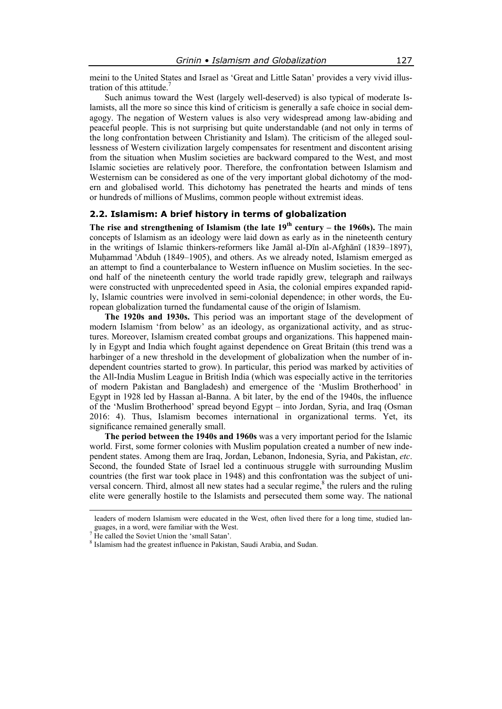meini to the United States and Israel as 'Great and Little Satan' provides a very vivid illustration of this attitude.

Such animus toward the West (largely well-deserved) is also typical of moderate Islamists, all the more so since this kind of criticism is generally a safe choice in social demagogy. The negation of Western values is also very widespread among law-abiding and peaceful people. This is not surprising but quite understandable (and not only in terms of the long confrontation between Christianity and Islam). The criticism of the alleged soullessness of Western civilization largely compensates for resentment and discontent arising from the situation when Muslim societies are backward compared to the West, and most Islamic societies are relatively poor. Therefore, the confrontation between Islamism and Westernism can be considered as one of the very important global dichotomy of the modern and globalised world. This dichotomy has penetrated the hearts and minds of tens or hundreds of millions of Muslims, common people without extremist ideas.

#### **2.2. Islamism: A brief history in terms of globalization**

**The rise and strengthening of Islamism (the late 19th century – the 1960s).** The main concepts of Islamism as an ideology were laid down as early as in the nineteenth century in the writings of Islamic thinkers-reformers like Jamāl al-Dīn al-Afghānī (1839–1897), Muhammad 'Abduh (1849–1905), and others. As we already noted, Islamism emerged as an attempt to find a counterbalance to Western influence on Muslim societies. In the second half of the nineteenth century the world trade rapidly grew, telegraph and railways were constructed with unprecedented speed in Asia, the colonial empires expanded rapidly, Islamic countries were involved in semi-colonial dependence; in other words, the European globalization turned the fundamental cause of the origin of Islamism.

**The 1920s and 1930s.** This period was an important stage of the development of modern Islamism 'from below' as an ideology, as organizational activity, and as structures. Moreover, Islamism created combat groups and organizations. This happened mainly in Egypt and India which fought against dependence on Great Britain (this trend was a harbinger of a new threshold in the development of globalization when the number of independent countries started to grow). In particular, this period was marked by activities of the All-India Muslim League in British India (which was especially active in the territories of modern Pakistan and Bangladesh) and emergence of the 'Muslim Brotherhood' in Egypt in 1928 led by Hassan al-Banna. A bit later, by the end of the 1940s, the influence of the 'Muslim Brotherhood' spread beyond Egypt – into Jordan, Syria, and Iraq (Osman 2016: 4). Thus, Islamism becomes international in organizational terms. Yet, its significance remained generally small.

**The period between the 1940s and 1960s** was a very important period for the Islamic world. First, some former colonies with Muslim population created a number of new independent states. Among them are Iraq, Jordan, Lebanon, Indonesia, Syria, and Pakistan, *etc*. Second, the founded State of Israel led a continuous struggle with surrounding Muslim countries (the first war took place in 1948) and this confrontation was the subject of universal concern. Third, almost all new states had a secular regime, $<sup>8</sup>$  the rulers and the ruling</sup> elite were generally hostile to the Islamists and persecuted them some way. The national

 $\overline{a}$ 

leaders of modern Islamism were educated in the West, often lived there for a long time, studied languages, in a word, were familiar with the West.

<sup>&</sup>lt;sup>7</sup> He called the Soviet Union the 'small Satan'.

<sup>8</sup> Islamism had the greatest influence in Pakistan, Saudi Arabia, and Sudan.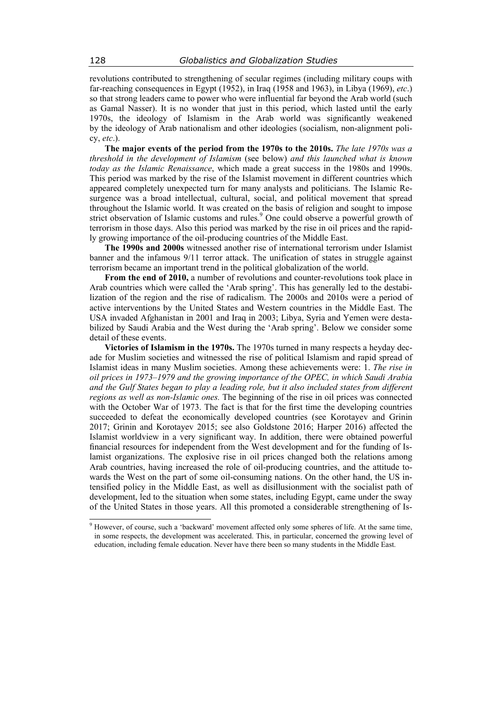revolutions contributed to strengthening of secular regimes (including military coups with far-reaching consequences in Egypt (1952), in Iraq (1958 and 1963), in Libya (1969), *etc*.) so that strong leaders came to power who were influential far beyond the Arab world (such as Gamal Nasser). It is no wonder that just in this period, which lasted until the early 1970s, the ideology of Islamism in the Arab world was significantly weakened by the ideology of Arab nationalism and other ideologies (socialism, non-alignment policy, *etc*.).

**The major events of the period from the 1970s to the 2010s.** *The late 1970s was a threshold in the development of Islamism* (see below) *and this launched what is known today as the Islamic Renaissance*, which made a great success in the 1980s and 1990s. This period was marked by the rise of the Islamist movement in different countries which appeared completely unexpected turn for many analysts and politicians. The Islamic Resurgence was a broad intellectual, cultural, social, and political movement that spread throughout the Islamic world. It was created on the basis of religion and sought to impose strict observation of Islamic customs and rules.<sup>9</sup> One could observe a powerful growth of terrorism in those days. Also this period was marked by the rise in oil prices and the rapidly growing importance of the oil-producing countries of the Middle East.

**The 1990s and 2000s** witnessed another rise of international terrorism under Islamist banner and the infamous 9/11 terror attack. The unification of states in struggle against terrorism became an important trend in the political globalization of the world.

**From the end of 2010,** a number of revolutions and counter-revolutions took place in Arab countries which were called the 'Arab spring'. This has generally led to the destabilization of the region and the rise of radicalism. The 2000s and 2010s were a period of active interventions by the United States and Western countries in the Middle East. The USA invaded Afghanistan in 2001 and Iraq in 2003; Libya, Syria and Yemen were destabilized by Saudi Arabia and the West during the 'Arab spring'. Below we consider some detail of these events.

**Victories of Islamism in the 1970s.** The 1970s turned in many respects a heyday decade for Muslim societies and witnessed the rise of political Islamism and rapid spread of Islamist ideas in many Muslim societies. Among these achievements were: 1. *The rise in oil prices in 1973–1979 and the growing importance of the OPEC, in which Saudi Arabia and the Gulf States began to play a leading role, but it also included states from different regions as well as non-Islamic ones.* The beginning of the rise in oil prices was connected with the October War of 1973. The fact is that for the first time the developing countries succeeded to defeat the economically developed countries (see Korotayev and Grinin 2017; Grinin and Korotayev 2015; see also Goldstone 2016; Harper 2016) affected the Islamist worldview in a very significant way. In addition, there were obtained powerful financial resources for independent from the West development and for the funding of Islamist organizations. The explosive rise in oil prices changed both the relations among Arab countries, having increased the role of oil-producing countries, and the attitude towards the West on the part of some oil-consuming nations. On the other hand, the US intensified policy in the Middle East, as well as disillusionment with the socialist path of development, led to the situation when some states, including Egypt, came under the sway of the United States in those years. All this promoted a considerable strengthening of Is-

 $\overline{\phantom{a}}$ 

<sup>&</sup>lt;sup>9</sup> However, of course, such a 'backward' movement affected only some spheres of life. At the same time, in some respects, the development was accelerated. This, in particular, concerned the growing level of education, including female education. Never have there been so many students in the Middle East.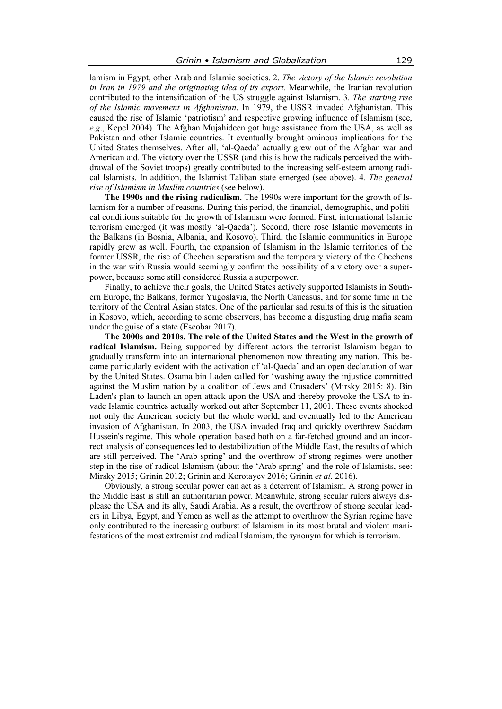lamism in Egypt, other Arab and Islamic societies. 2. *The victory of the Islamic revolution in Iran in 1979 and the originating idea of its export.* Meanwhile, the Iranian revolution contributed to the intensification of the US struggle against Islamism. 3. *The starting rise of the Islamic movement in Afghanistan*. In 1979, the USSR invaded Afghanistan. This caused the rise of Islamic 'patriotism' and respective growing influence of Islamism (see, *e.g*., Kepel 2004). The Afghan Mujahideen got huge assistance from the USA, as well as Pakistan and other Islamic countries. It eventually brought ominous implications for the United States themselves. After all, 'al-Qaeda' actually grew out of the Afghan war and American aid. The victory over the USSR (and this is how the radicals perceived the withdrawal of the Soviet troops) greatly contributed to the increasing self-esteem among radical Islamists. In addition, the Islamist Taliban state emerged (see above). 4. *The general rise of Islamism in Muslim countries* (see below).

**The 1990s and the rising radicalism.** The 1990s were important for the growth of Islamism for a number of reasons. During this period, the financial, demographic, and political conditions suitable for the growth of Islamism were formed. First, international Islamic terrorism emerged (it was mostly 'al-Qaeda'). Second, there rose Islamic movements in the Balkans (in Bosnia, Albania, and Kosovo). Third, the Islamic communities in Europe rapidly grew as well. Fourth, the expansion of Islamism in the Islamic territories of the former USSR, the rise of Chechen separatism and the temporary victory of the Chechens in the war with Russia would seemingly confirm the possibility of a victory over a superpower, because some still considered Russia a superpower.

Finally, to achieve their goals, the United States actively supported Islamists in Southern Europe, the Balkans, former Yugoslavia, the North Caucasus, and for some time in the territory of the Central Asian states. One of the particular sad results of this is the situation in Kosovo, which, according to some observers, has become a disgusting drug mafia scam under the guise of a state (Escobar 2017).

**The 2000s and 2010s. The role of the United States and the West in the growth of radical Islamism.** Being supported by different actors the terrorist Islamism began to gradually transform into an international phenomenon now threating any nation. This became particularly evident with the activation of 'al-Qaeda' and an open declaration of war by the United States. Osama bin Laden called for 'washing away the injustice committed against the Muslim nation by a coalition of Jews and Crusaders' (Mirsky 2015: 8). Bin Laden's plan to launch an open attack upon the USA and thereby provoke the USA to invade Islamic countries actually worked out after September 11, 2001. These events shocked not only the American society but the whole world, and eventually led to the American invasion of Afghanistan. In 2003, the USA invaded Iraq and quickly overthrew Saddam Hussein's regime. This whole operation based both on a far-fetched ground and an incorrect analysis of consequences led to destabilization of the Middle East, the results of which are still perceived. The 'Arab spring' and the overthrow of strong regimes were another step in the rise of radical Islamism (about the 'Arab spring' and the role of Islamists, see: Mirsky 2015; Grinin 2012; Grinin and Korotayev 2016; Grinin *et al*. 2016).

Obviously, a strong secular power can act as a deterrent of Islamism. A strong power in the Middle East is still an authoritarian power. Meanwhile, strong secular rulers always displease the USA and its ally, Saudi Arabia. As a result, the overthrow of strong secular leaders in Libya, Egypt, and Yemen as well as the attempt to overthrow the Syrian regime have only contributed to the increasing outburst of Islamism in its most brutal and violent manifestations of the most extremist and radical Islamism, the synonym for which is terrorism.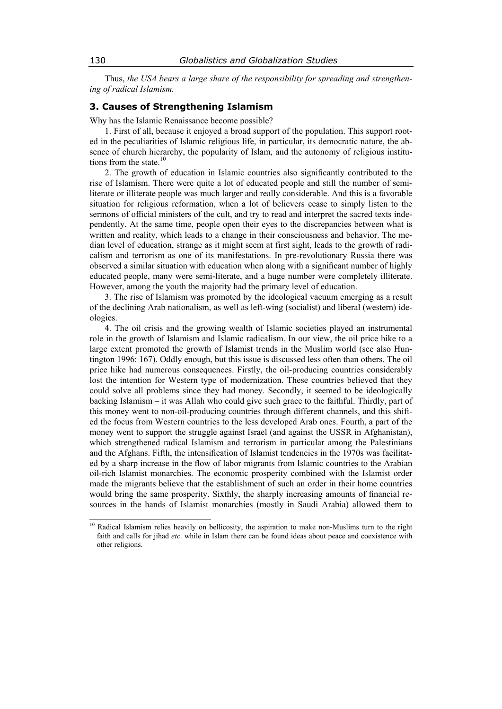Thus, *the USA bears a large share of the responsibility for spreading and strengthening of radical Islamism.* 

## **3. Causes of Strengthening Islamism**

Why has the Islamic Renaissance become possible?

1. First of all, because it enjoyed a broad support of the population. This support rooted in the peculiarities of Islamic religious life, in particular, its democratic nature, the absence of church hierarchy, the popularity of Islam, and the autonomy of religious institutions from the state.<sup>10</sup>

2. The growth of education in Islamic countries also significantly contributed to the rise of Islamism. There were quite a lot of educated people and still the number of semiliterate or illiterate people was much larger and really considerable. And this is a favorable situation for religious reformation, when a lot of believers cease to simply listen to the sermons of official ministers of the cult, and try to read and interpret the sacred texts independently. At the same time, people open their eyes to the discrepancies between what is written and reality, which leads to a change in their consciousness and behavior. The median level of education, strange as it might seem at first sight, leads to the growth of radicalism and terrorism as one of its manifestations. In pre-revolutionary Russia there was observed a similar situation with education when along with a significant number of highly educated people, many were semi-literate, and a huge number were completely illiterate. However, among the youth the majority had the primary level of education.

3. The rise of Islamism was promoted by the ideological vacuum emerging as a result of the declining Arab nationalism, as well as left-wing (socialist) and liberal (western) ideologies.

4. The oil crisis and the growing wealth of Islamic societies played an instrumental role in the growth of Islamism and Islamic radicalism. In our view, the oil price hike to a large extent promoted the growth of Islamist trends in the Muslim world (see also Huntington 1996: 167). Oddly enough, but this issue is discussed less often than others. The oil price hike had numerous consequences. Firstly, the oil-producing countries considerably lost the intention for Western type of modernization. These countries believed that they could solve all problems since they had money. Secondly, it seemed to be ideologically backing Islamism – it was Allah who could give such grace to the faithful. Thirdly, part of this money went to non-oil-producing countries through different channels, and this shifted the focus from Western countries to the less developed Arab ones. Fourth, a part of the money went to support the struggle against Israel (and against the USSR in Afghanistan), which strengthened radical Islamism and terrorism in particular among the Palestinians and the Afghans. Fifth, the intensification of Islamist tendencies in the 1970s was facilitated by a sharp increase in the flow of labor migrants from Islamic countries to the Arabian oil-rich Islamist monarchies. The economic prosperity combined with the Islamist order made the migrants believe that the establishment of such an order in their home countries would bring the same prosperity. Sixthly, the sharply increasing amounts of financial resources in the hands of Islamist monarchies (mostly in Saudi Arabia) allowed them to

<sup>10</sup> Radical Islamism relies heavily on bellicosity, the aspiration to make non-Muslims turn to the right faith and calls for jihad *etc*. while in Islam there can be found ideas about peace and coexistence with other religions.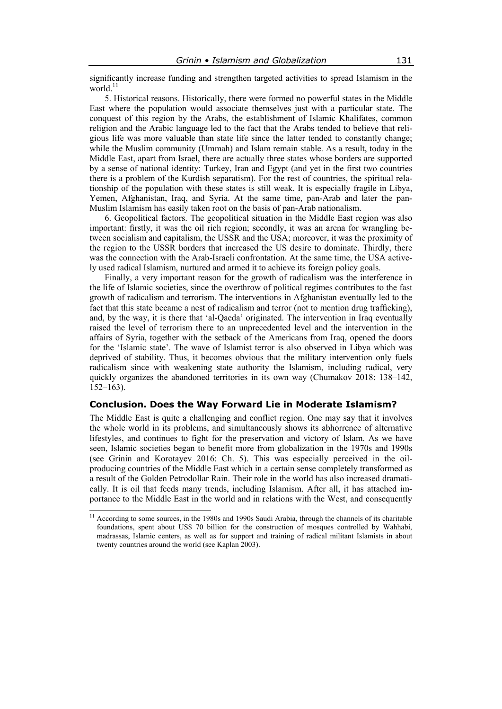significantly increase funding and strengthen targeted activities to spread Islamism in the world. $11$ 

5. Historical reasons. Historically, there were formed no powerful states in the Middle East where the population would associate themselves just with a particular state. The conquest of this region by the Arabs, the establishment of Islamic Khalifates, common religion and the Arabic language led to the fact that the Arabs tended to believe that religious life was more valuable than state life since the latter tended to constantly change; while the Muslim community (Ummah) and Islam remain stable. As a result, today in the Middle East, apart from Israel, there are actually three states whose borders are supported by a sense of national identity: Turkey, Iran and Egypt (and yet in the first two countries there is a problem of the Kurdish separatism). For the rest of countries, the spiritual relationship of the population with these states is still weak. It is especially fragile in Libya, Yemen, Afghanistan, Iraq, and Syria. At the same time, pan-Arab and later the pan-Muslim Islamism has easily taken root on the basis of pan-Arab nationalism.

6. Geopolitical factors. The geopolitical situation in the Middle East region was also important: firstly, it was the oil rich region; secondly, it was an arena for wrangling between socialism and capitalism, the USSR and the USA; moreover, it was the proximity of the region to the USSR borders that increased the US desire to dominate. Thirdly, there was the connection with the Arab-Israeli confrontation. At the same time, the USA actively used radical Islamism, nurtured and armed it to achieve its foreign policy goals.

Finally, a very important reason for the growth of radicalism was the interference in the life of Islamic societies, since the overthrow of political regimes contributes to the fast growth of radicalism and terrorism. The interventions in Afghanistan eventually led to the fact that this state became a nest of radicalism and terror (not to mention drug trafficking), and, by the way, it is there that 'al-Qaeda' originated. The intervention in Iraq eventually raised the level of terrorism there to an unprecedented level and the intervention in the affairs of Syria, together with the setback of the Americans from Iraq, opened the doors for the 'Islamic state'. The wave of Islamist terror is also observed in Libya which was deprived of stability. Thus, it becomes obvious that the military intervention only fuels radicalism since with weakening state authority the Islamism, including radical, very quickly organizes the abandoned territories in its own way (Chumakov 2018: 138–142, 152–163).

## **Conclusion. Does the Way Forward Lie in Moderate Islamism?**

The Middle East is quite a challenging and conflict region. One may say that it involves the whole world in its problems, and simultaneously shows its abhorrence of alternative lifestyles, and continues to fight for the preservation and victory of Islam. As we have seen, Islamic societies began to benefit more from globalization in the 1970s and 1990s (see Grinin and Korotayev 2016: Ch. 5). This was especially perceived in the oilproducing countries of the Middle East which in a certain sense completely transformed as a result of the Golden Petrodollar Rain. Their role in the world has also increased dramatically. It is oil that feeds many trends, including Islamism. After all, it has attached importance to the Middle East in the world and in relations with the West, and consequently

 $\overline{a}$ 

<sup>&</sup>lt;sup>11</sup> According to some sources, in the 1980s and 1990s Saudi Arabia, through the channels of its charitable foundations, spent about US\$ 70 billion for the construction of mosques controlled by Wahhabi, madrassas, Islamic centers, as well as for support and training of radical militant Islamists in about twenty countries around the world (see Kaplan 2003).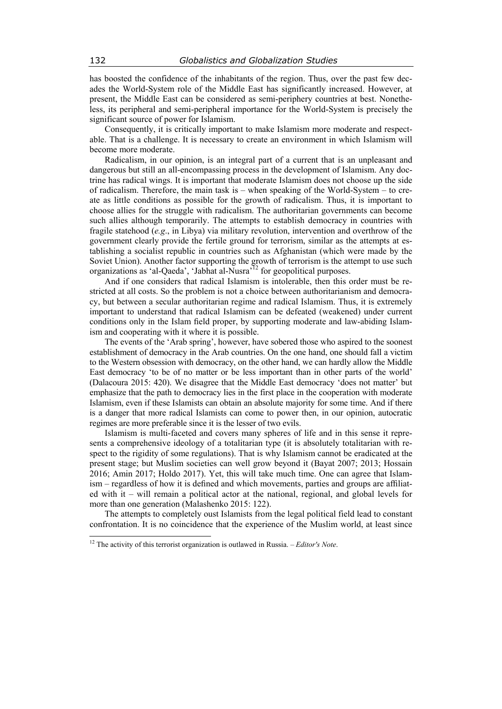has boosted the confidence of the inhabitants of the region. Thus, over the past few decades the World-System role of the Middle East has significantly increased. However, at present, the Middle East can be considered as semi-periphery countries at best. Nonetheless, its peripheral and semi-peripheral importance for the World-System is precisely the significant source of power for Islamism.

Consequently, it is critically important to make Islamism more moderate and respectable. That is a challenge. It is necessary to create an environment in which Islamism will become more moderate.

Radicalism, in our opinion, is an integral part of a current that is an unpleasant and dangerous but still an all-encompassing process in the development of Islamism. Any doctrine has radical wings. It is important that moderate Islamism does not choose up the side of radicalism. Therefore, the main task is – when speaking of the World-System – to create as little conditions as possible for the growth of radicalism. Thus, it is important to choose allies for the struggle with radicalism. The authoritarian governments can become such allies although temporarily. The attempts to establish democracy in countries with fragile statehood (*e.g*., in Libya) via military revolution, intervention and overthrow of the government clearly provide the fertile ground for terrorism, similar as the attempts at establishing a socialist republic in countries such as Afghanistan (which were made by the Soviet Union). Another factor supporting the growth of terrorism is the attempt to use such organizations as 'al-Qaeda', 'Jabhat al-Nusra'<sup>12</sup> for geopolitical purposes.

And if one considers that radical Islamism is intolerable, then this order must be restricted at all costs. So the problem is not a choice between authoritarianism and democracy, but between a secular authoritarian regime and radical Islamism. Thus, it is extremely important to understand that radical Islamism can be defeated (weakened) under current conditions only in the Islam field proper, by supporting moderate and law-abiding Islamism and cooperating with it where it is possible.

The events of the 'Arab spring', however, have sobered those who aspired to the soonest establishment of democracy in the Arab countries. On the one hand, one should fall a victim to the Western obsession with democracy, on the other hand, we can hardly allow the Middle East democracy 'to be of no matter or be less important than in other parts of the world' (Dalacoura 2015: 420). We disagree that the Middle East democracy 'does not matter' but emphasize that the path to democracy lies in the first place in the cooperation with moderate Islamism, even if these Islamists can obtain an absolute majority for some time. And if there is a danger that more radical Islamists can come to power then, in our opinion, autocratic regimes are more preferable since it is the lesser of two evils.

Islamism is multi-faceted and covers many spheres of life and in this sense it represents a comprehensive ideology of a totalitarian type (it is absolutely totalitarian with respect to the rigidity of some regulations). That is why Islamism cannot be eradicated at the present stage; but Muslim societies can well grow beyond it (Bayat 2007; 2013; Hossain 2016; Amin 2017; Holdo 2017). Yet, this will take much time. One can agree that Islamism – regardless of how it is defined and which movements, parties and groups are affiliated with it – will remain a political actor at the national, regional, and global levels for more than one generation (Malashenko 2015: 122).

The attempts to completely oust Islamists from the legal political field lead to constant confrontation. It is no coincidence that the experience of the Muslim world, at least since

 $\overline{\phantom{a}}$ 

<sup>12</sup> The activity of this terrorist organization is outlawed in Russia. – *Editor's Note*.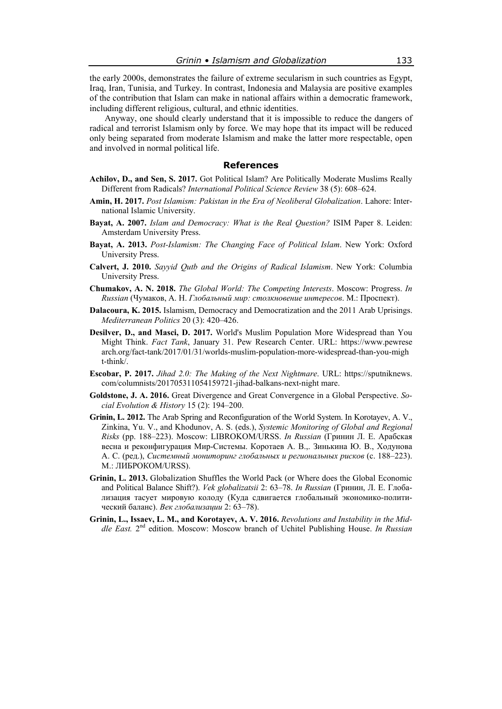the early 2000s, demonstrates the failure of extreme secularism in such countries as Egypt, Iraq, Iran, Tunisia, and Turkey. In contrast, Indonesia and Malaysia are positive examples of the contribution that Islam can make in national affairs within a democratic framework, including different religious, cultural, and ethnic identities.

Anyway, one should clearly understand that it is impossible to reduce the dangers of radical and terrorist Islamism only by force. We may hope that its impact will be reduced only being separated from moderate Islamism and make the latter more respectable, open and involved in normal political life.

#### **References**

- **Achilov, D., and Sen, S. 2017.** Got Political Islam? Are Politically Moderate Muslims Really Different from Radicals? *International Political Science Review* 38 (5): 608–624.
- **Amin, H. 2017.** *Post Islamism: Pakistan in the Era of Neoliberal Globalization*. Lahore: International Islamic University.
- **Bayat, A. 2007.** *Islam and Democracy: What is the Real Question?* ISIM Paper 8. Leiden: Amsterdam University Press.
- **Bayat, A. 2013.** *Post-Islamism: The Changing Face of Political Islam*. New York: Oxford University Press.
- **Calvert, J. 2010.** *Sayyid Qutb and the Origins of Radical Islamism*. New York: Columbia University Press.
- **Chumakov, A. N. 2018.** *The Global World: The Competing Interests*. Moscow: Progress. *In Russian* (Чумаков, А. Н. *Глобальный мир: столкновение интересов*. М.: Проспект).
- **Dalacoura, K. 2015.** Islamism, Democracy and Democratization and the 2011 Arab Uprisings. *Mediterranean Politics* 20 (3): 420–426.
- **Desilver, D., and Masci, D. 2017.** World's Muslim Population More Widespread than You Might Think. *Fact Tank*, January 31. Pew Research Center. URL: https://www.pewrese arch.org/fact-tank/2017/01/31/worlds-muslim-population-more-widespread-than-you-migh t-think/.
- **Escobar, P. 2017.** *Jihad 2.0: The Making of the Next Nightmare*. URL: https://sputniknews. com/columnists/201705311054159721-jihad-balkans-next-night mare.
- **Goldstone, J. A. 2016.** Great Divergence and Great Convergence in a Global Perspective. *Social Evolution & History* 15 (2): 194–200.
- **Grinin, L. 2012.** The Arab Spring and Reconfiguration of the World System. In Korotayev, A. V., Zinkina, Yu. V., and Khodunov, A. S. (eds.), *Systemic Monitoring of Global and Regional Risks* (pp. 188–223). Moscow: LIBROKOM/URSS. *In Russian* (Гринин Л. Е. Арабская весна и реконфигурация Мир-Системы. Коротаев А. В.,. Зинькина Ю. В., Ходунова А. С. (ред.), *Системный мониторинг глобальных и региональных рисков* (с. 188–223). М.: ЛИБРОКОМ/URSS).
- **Grinin, L. 2013.** Globalization Shuffles the World Pack (or Where does the Global Economic and Political Balance Shift?). *Vek globalizatsii* 2: 63–78. *In Russian* (Гринин, Л. Е. Глобализация тасует мировую колоду (Куда сдвигается глобальный экономико-политический баланс). *Век глобализации* 2: 63–78).
- **Grinin, L., Issaev, L. M., and Korotayev, A. V. 2016.** *Revolutions and Instability in the Middle East.* 2nd edition. Moscow: Moscow branch of Uchitel Publishing House. *In Russian*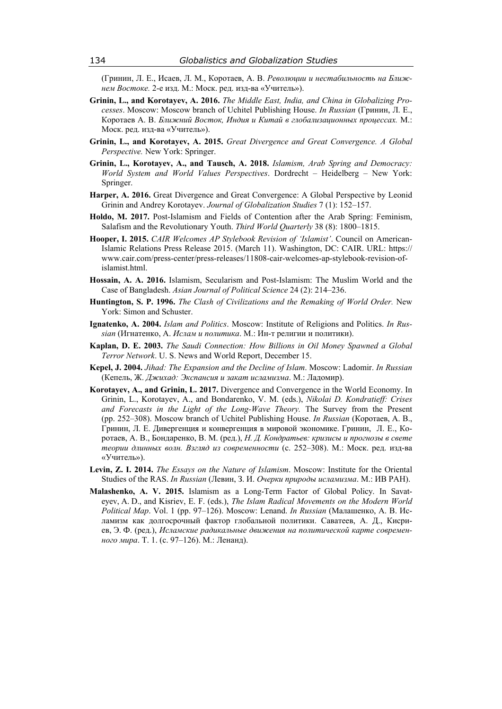(Гринин, Л. Е., Исаев, Л. М., Коротаев, А. В. *Революции и нестабильность на Ближнем Востоке.* 2-е изд. М.: Моск. ред. изд-ва «Учитель»).

- **Grinin, L., and Korotayev, A. 2016.** *The Middle East, India, and China in Globalizing Processes*. Moscow: Moscow branch of Uchitel Publishing House. *In Russian* (Гринин, Л. Е., Коротаев А. В. *Ближний Восток, Индия и Китай в глобализационных процессах.* М.: Моск. ред. изд-ва «Учитель»).
- **Grinin, L., and Korotayev, A. 2015.** *Great Divergence and Great Convergence. A Global Perspective.* New York: Springer.
- **Grinin, L., Korotayev, A., and Tausch, A. 2018.** *Islamism, Arab Spring and Democracy: World System and World Values Perspectives*. Dordrecht – Heidelberg – New York: Springer.
- **Harper, A. 2016.** Great Divergence and Great Convergence: A Global Perspective by Leonid Grinin and Andrey Korotayev. *Journal of Globalization Studies* 7 (1): 152–157.
- **Holdo, M. 2017.** Post-Islamism and Fields of Contention after the Arab Spring: Feminism, Salafism and the Revolutionary Youth. *Third World Quarterly* 38 (8): 1800–1815.
- **Hooper, I. 2015.** *CAIR Welcomes AP Stylebook Revision of 'Islamist'*. Council on American-Islamic Relations Press Release 2015. (March 11). Washington, DC: CAIR. URL: https:// www.cair.com/press-center/press-releases/11808-cair-welcomes-ap-stylebook-revision-ofislamist.html.
- **Hossain, A. A. 2016.** Islamism, Secularism and Post-Islamism: The Muslim World and the Case of Bangladesh. *Asian Journal of Political Science* 24 (2): 214–236.
- **Huntington, S. P. 1996.** *The Clash of Civilizations and the Remaking of World Order.* New York: Simon and Schuster.
- **Ignatenko, A. 2004.** *Islam and Politics*. Moscow: Institute of Religions and Politics. *In Russian* (Игнатенко, А. *Ислам и политика*. М.: Ин-т религии и политики).
- **Kaplan, D. E. 2003.** *The Saudi Connection: How Billions in Oil Money Spawned a Global Terror Network*. U. S. News and World Report, December 15.
- **Kepel, J. 2004.** *Jihad: The Expansion and the Decline of Islam*. Moscow: Ladomir. *In Russian* (Кепель, Ж. *Джихад: Экспансия и закат исламизма*. М.: Ладомир).
- **Korotayev, A., and Grinin, L. 2017.** Divergence and Convergence in the World Economy. In Grinin, L., Korotayev, A., and Bondarenko, V. M. (eds.), *Nikolai D. Kondratieff: Crises and Forecasts in the Light of the Long-Wave Theory.* The Survey from the Present (pp. 252–308). Moscow branch of Uchitel Publishing House. *In Russian* (Коротаев, А. В., Гринин, Л. Е. Дивергенция и конвергенция в мировой экономике. Гринин, Л. Е., Коротаев, А. В., Бондаренко, В. М. (ред.), *Н. Д. Кондратьев: кризисы и прогнозы в свете теории длинных волн. Взгляд из современности* (с. 252–308). М.: Моск. ред. изд-ва «Учитель»).
- **Levin, Z. I. 2014.** *The Essays on the Nature of Islamism*. Moscow: Institute for the Oriental Studies of the RAS. *In Russian* (Левин, З. И. *Очерки природы исламизма*. М.: ИВ РАН).
- **Malashenko, A. V. 2015.** Islamism as a Long-Term Factor of Global Policy. In Savateyev, A. D., and Kisriev, E. F. (eds.), *The Islam Radical Movements on the Modern World Political Map*. Vol. 1 (pp. 97–126). Moscow: Lenand. *In Russian* (Малашенко, А. В. Исламизм как долгосрочный фактор глобальной политики. Саватеев, А. Д., Кисриев, Э. Ф. (ред.), *Исламские радикальные движения на политической карте современного мира*. Т. 1. (с. 97–126). М.: Ленанд).